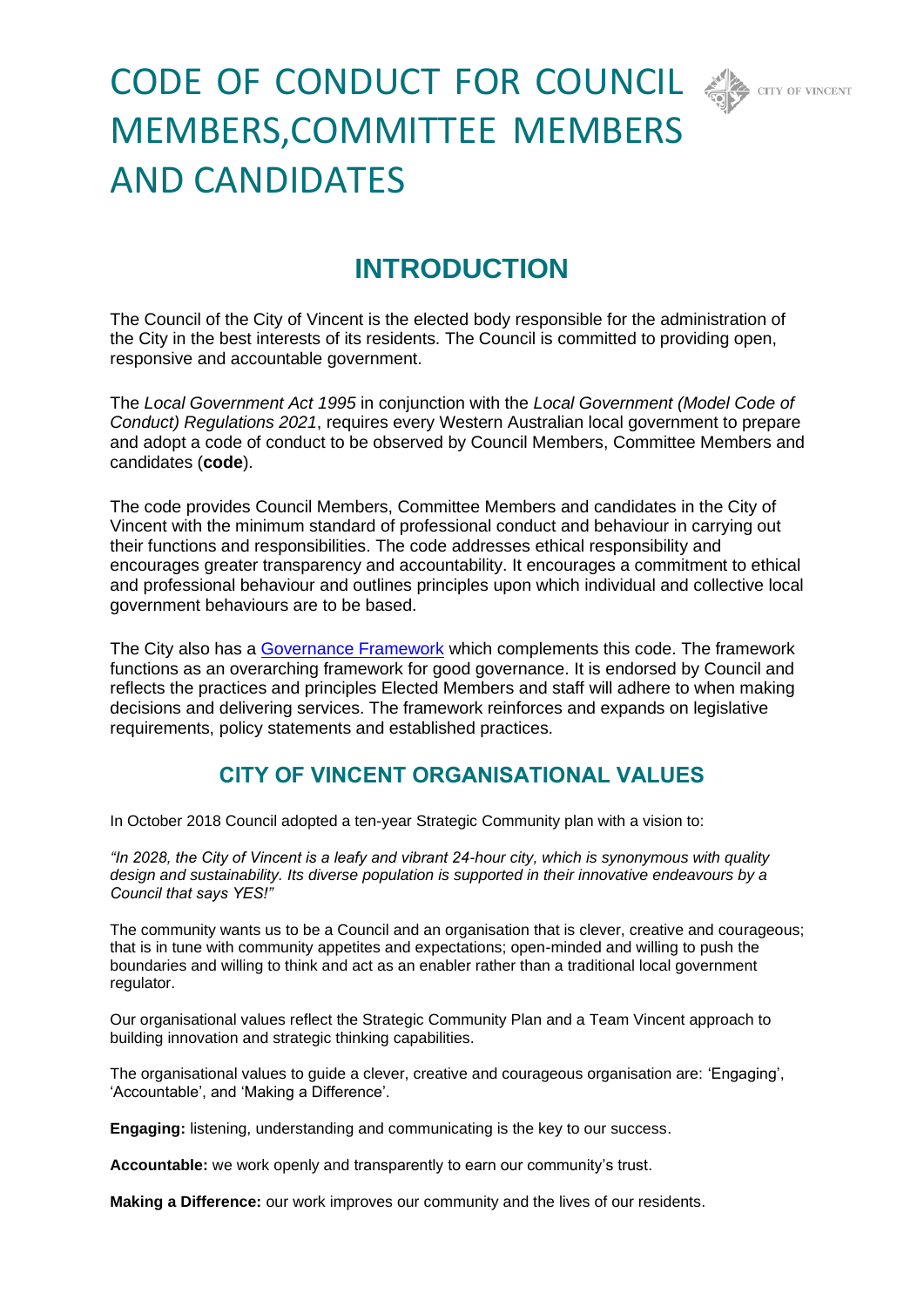

# CODE OF CONDUCT FOR COUNCIL < MEMBERS,COMMITTEE MEMBERS AND CANDIDATES

# **INTRODUCTION**

The Council of the City of Vincent is the elected body responsible for the administration of the City in the best interests of its residents. The Council is committed to providing open, responsive and accountable government.

The *Local Government Act 1995* in conjunction with the *Local Government (Model Code of Conduct) Regulations 2021*, requires every Western Australian local government to prepare and adopt a code of conduct to be observed by Council Members, Committee Members and candidates (**code**).

The code provides Council Members, Committee Members and candidates in the City of Vincent with the minimum standard of professional conduct and behaviour in carrying out their functions and responsibilities. The code addresses ethical responsibility and encourages greater transparency and accountability. It encourages a commitment to ethical and professional behaviour and outlines principles upon which individual and collective local government behaviours are to be based.

The City also has a [Governance Framework](https://www.vincent.wa.gov.au/council/governance/governance-framework.aspx) which complements this code. The framework functions as an overarching framework for good governance. It is endorsed by Council and reflects the practices and principles Elected Members and staff will adhere to when making decisions and delivering services. The framework reinforces and expands on legislative requirements, policy statements and established practices.

# **CITY OF VINCENT ORGANISATIONAL VALUES**

In October 2018 Council adopted a ten-year Strategic Community plan with a vision to:

*"In 2028, the City of Vincent is a leafy and vibrant 24-hour city, which is synonymous with quality design and sustainability. Its diverse population is supported in their innovative endeavours by a Council that says YES!"* 

The community wants us to be a Council and an organisation that is clever, creative and courageous; that is in tune with community appetites and expectations; open-minded and willing to push the boundaries and willing to think and act as an enabler rather than a traditional local government regulator.

Our organisational values reflect the Strategic Community Plan and a Team Vincent approach to building innovation and strategic thinking capabilities.

The organisational values to guide a clever, creative and courageous organisation are: 'Engaging', 'Accountable', and 'Making a Difference'.

**Engaging:** listening, understanding and communicating is the key to our success.

**Accountable:** we work openly and transparently to earn our community's trust.

**Making a Difference:** our work improves our community and the lives of our residents.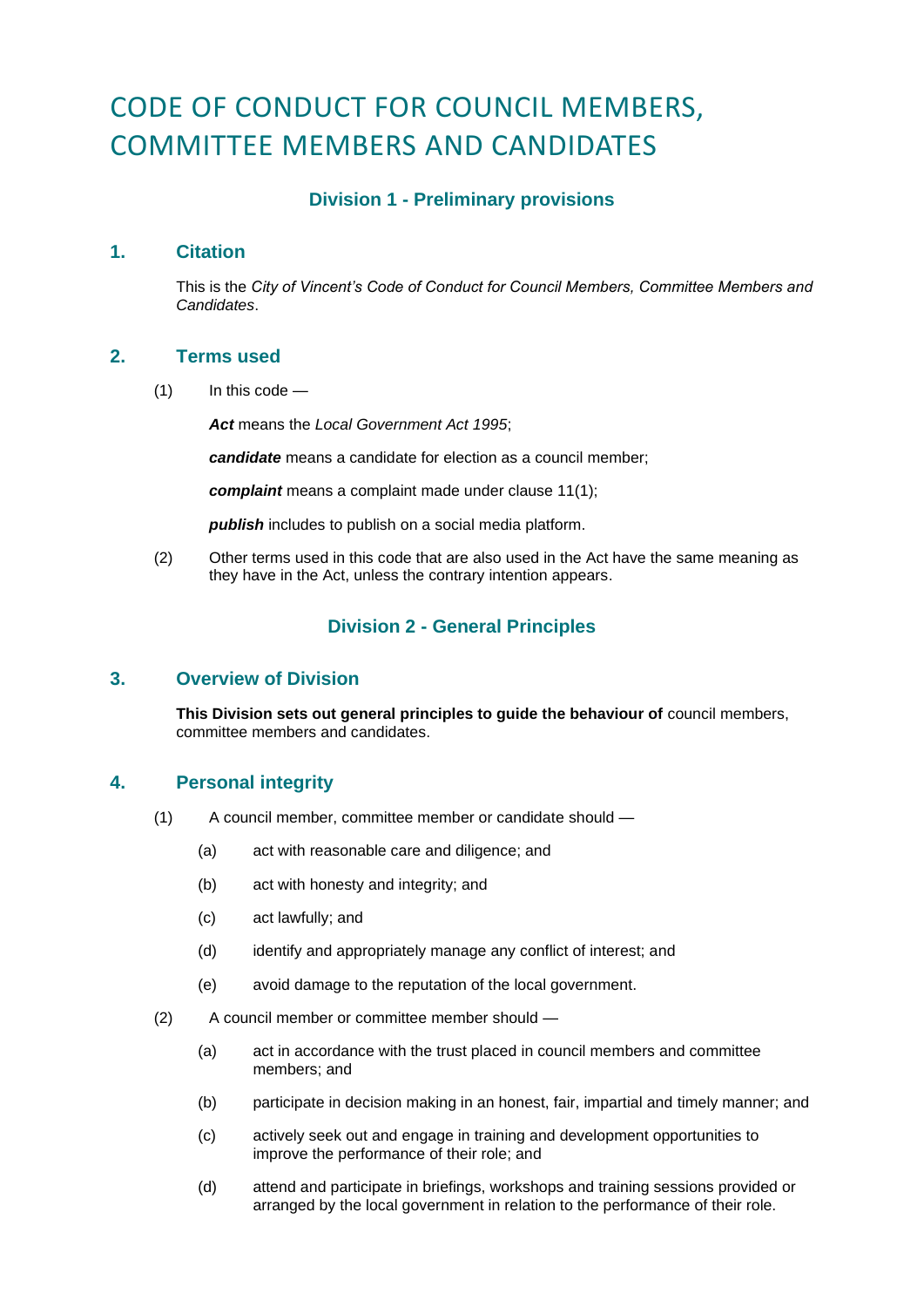# CODE OF CONDUCT FOR COUNCIL MEMBERS, COMMITTEE MEMBERS AND CANDIDATES

# **Division 1 - Preliminary provisions**

# **1. Citation**

This is the *City of Vincent's Code of Conduct for Council Members, Committee Members and Candidates*.

# **2. Terms used**

 $(1)$  In this code —

*Act* means the *Local Government Act 1995*;

*candidate* means a candidate for election as a council member;

*complaint* means a complaint made under clause 11(1);

*publish* includes to publish on a social media platform.

(2) Other terms used in this code that are also used in the Act have the same meaning as they have in the Act, unless the contrary intention appears.

# **Division 2 - General Principles**

# **3. Overview of Division**

**This Division sets out general principles to guide the behaviour of** council members, committee members and candidates.

# **4. Personal integrity**

- (1) A council member, committee member or candidate should
	- (a) act with reasonable care and diligence; and
	- (b) act with honesty and integrity; and
	- (c) act lawfully; and
	- (d) identify and appropriately manage any conflict of interest; and
	- (e) avoid damage to the reputation of the local government.
- (2) A council member or committee member should
	- (a) act in accordance with the trust placed in council members and committee members; and
	- (b) participate in decision making in an honest, fair, impartial and timely manner; and
	- (c) actively seek out and engage in training and development opportunities to improve the performance of their role; and
	- (d) attend and participate in briefings, workshops and training sessions provided or arranged by the local government in relation to the performance of their role.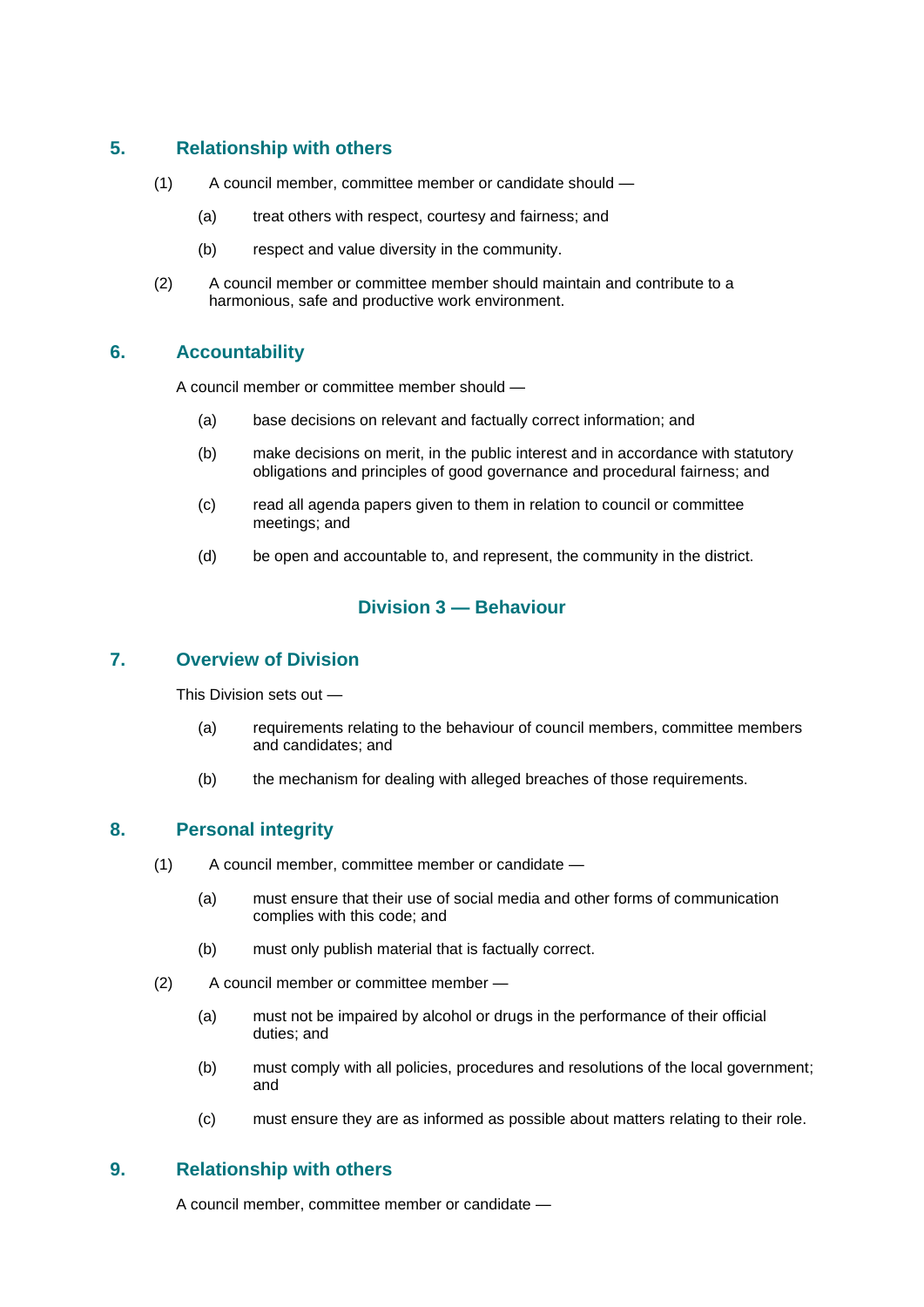# **5. Relationship with others**

- (1) A council member, committee member or candidate should
	- (a) treat others with respect, courtesy and fairness; and
	- (b) respect and value diversity in the community.
- (2) A council member or committee member should maintain and contribute to a harmonious, safe and productive work environment.

# **6. Accountability**

A council member or committee member should —

- (a) base decisions on relevant and factually correct information; and
- (b) make decisions on merit, in the public interest and in accordance with statutory obligations and principles of good governance and procedural fairness; and
- (c) read all agenda papers given to them in relation to council or committee meetings; and
- (d) be open and accountable to, and represent, the community in the district.

# **Division 3 — Behaviour**

# **7. Overview of Division**

This Division sets out —

- (a) requirements relating to the behaviour of council members, committee members and candidates; and
- (b) the mechanism for dealing with alleged breaches of those requirements.

# **8. Personal integrity**

- (1) A council member, committee member or candidate
	- (a) must ensure that their use of social media and other forms of communication complies with this code; and
	- (b) must only publish material that is factually correct.
- (2) A council member or committee member
	- (a) must not be impaired by alcohol or drugs in the performance of their official duties; and
	- (b) must comply with all policies, procedures and resolutions of the local government; and
	- (c) must ensure they are as informed as possible about matters relating to their role.

# **9. Relationship with others**

A council member, committee member or candidate —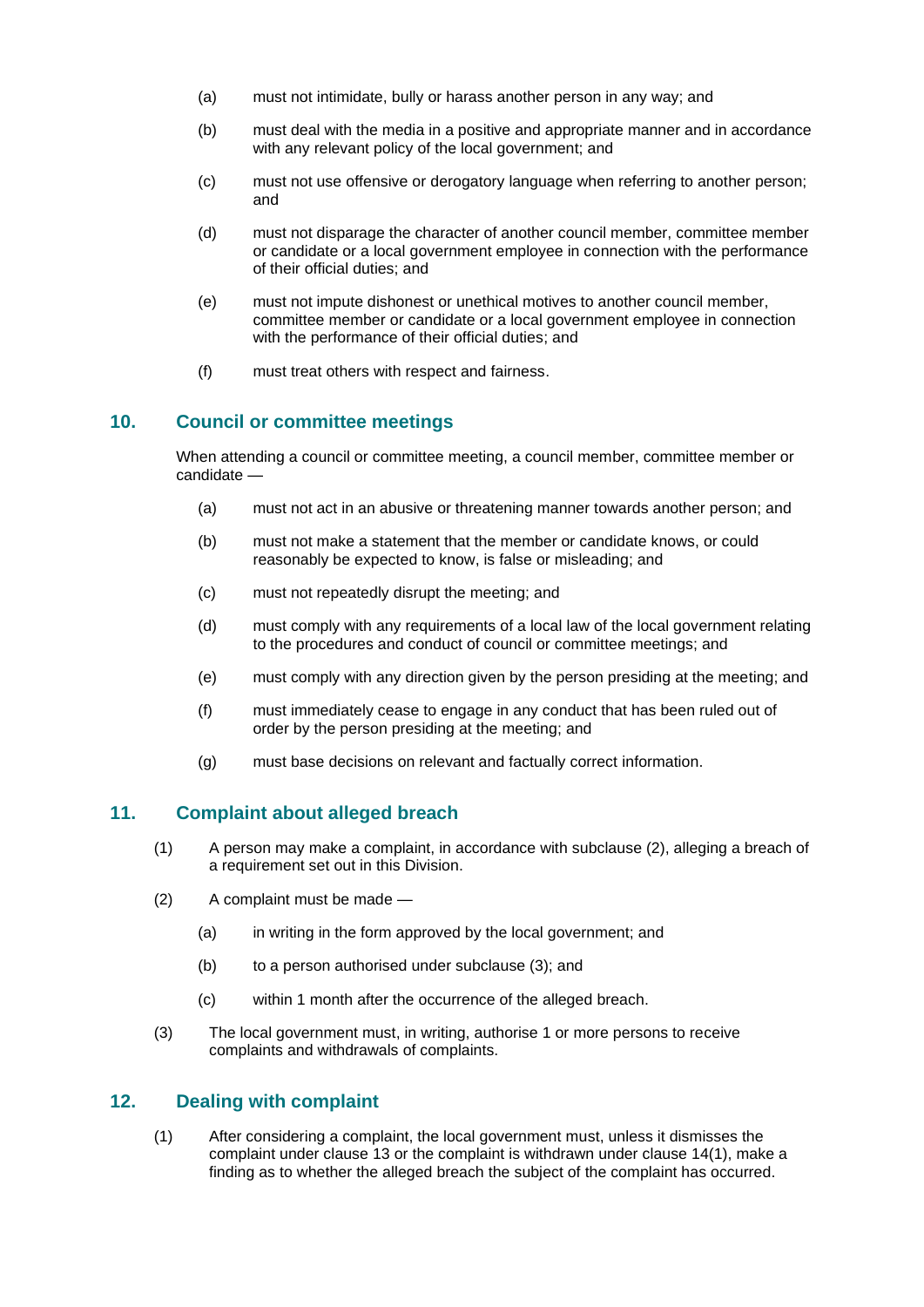- (a) must not intimidate, bully or harass another person in any way; and
- (b) must deal with the media in a positive and appropriate manner and in accordance with any relevant policy of the local government; and
- (c) must not use offensive or derogatory language when referring to another person; and
- (d) must not disparage the character of another council member, committee member or candidate or a local government employee in connection with the performance of their official duties; and
- (e) must not impute dishonest or unethical motives to another council member, committee member or candidate or a local government employee in connection with the performance of their official duties; and
- (f) must treat others with respect and fairness.

#### **10. Council or committee meetings**

When attending a council or committee meeting, a council member, committee member or candidate —

- (a) must not act in an abusive or threatening manner towards another person; and
- (b) must not make a statement that the member or candidate knows, or could reasonably be expected to know, is false or misleading; and
- (c) must not repeatedly disrupt the meeting; and
- (d) must comply with any requirements of a local law of the local government relating to the procedures and conduct of council or committee meetings; and
- (e) must comply with any direction given by the person presiding at the meeting; and
- (f) must immediately cease to engage in any conduct that has been ruled out of order by the person presiding at the meeting; and
- (g) must base decisions on relevant and factually correct information.

#### **11. Complaint about alleged breach**

- (1) A person may make a complaint, in accordance with subclause (2), alleging a breach of a requirement set out in this Division.
- (2) A complaint must be made
	- (a) in writing in the form approved by the local government; and
	- (b) to a person authorised under subclause (3); and
	- (c) within 1 month after the occurrence of the alleged breach.
- (3) The local government must, in writing, authorise 1 or more persons to receive complaints and withdrawals of complaints.

#### **12. Dealing with complaint**

(1) After considering a complaint, the local government must, unless it dismisses the complaint under clause 13 or the complaint is withdrawn under clause 14(1), make a finding as to whether the alleged breach the subject of the complaint has occurred.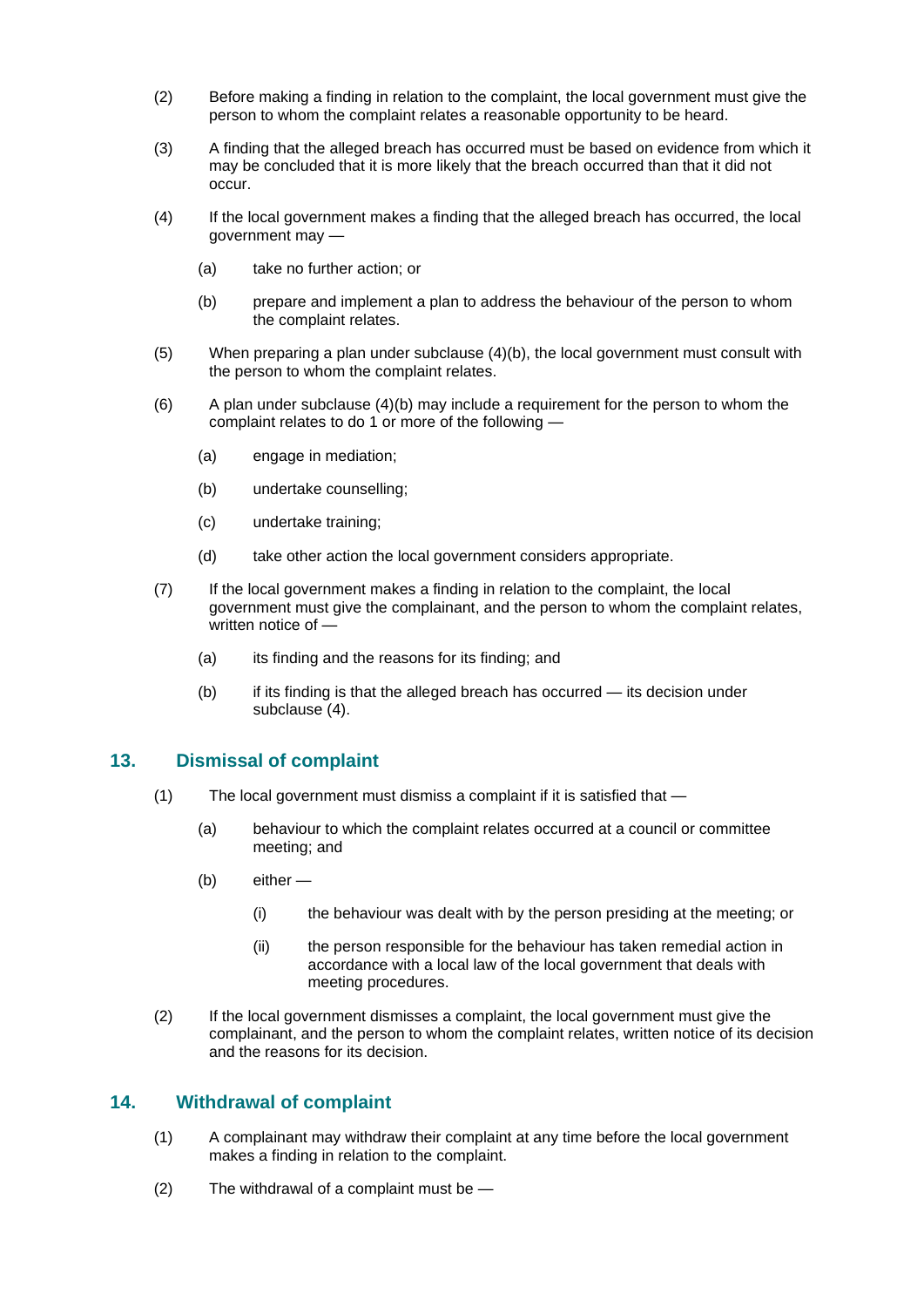- (2) Before making a finding in relation to the complaint, the local government must give the person to whom the complaint relates a reasonable opportunity to be heard.
- (3) A finding that the alleged breach has occurred must be based on evidence from which it may be concluded that it is more likely that the breach occurred than that it did not occur.
- (4) If the local government makes a finding that the alleged breach has occurred, the local government may —
	- (a) take no further action; or
	- (b) prepare and implement a plan to address the behaviour of the person to whom the complaint relates.
- (5) When preparing a plan under subclause (4)(b), the local government must consult with the person to whom the complaint relates.
- $(6)$  A plan under subclause  $(4)(b)$  may include a requirement for the person to whom the complaint relates to do 1 or more of the following -
	- (a) engage in mediation;
	- (b) undertake counselling;
	- (c) undertake training;
	- (d) take other action the local government considers appropriate.
- (7) If the local government makes a finding in relation to the complaint, the local government must give the complainant, and the person to whom the complaint relates, written notice of —
	- (a) its finding and the reasons for its finding; and
	- (b) if its finding is that the alleged breach has occurred its decision under subclause (4).

# **13. Dismissal of complaint**

- (1) The local government must dismiss a complaint if it is satisfied that
	- (a) behaviour to which the complaint relates occurred at a council or committee meeting; and
	- (b) either
		- (i) the behaviour was dealt with by the person presiding at the meeting; or
		- (ii) the person responsible for the behaviour has taken remedial action in accordance with a local law of the local government that deals with meeting procedures.
- (2) If the local government dismisses a complaint, the local government must give the complainant, and the person to whom the complaint relates, written notice of its decision and the reasons for its decision.

# **14. Withdrawal of complaint**

- (1) A complainant may withdraw their complaint at any time before the local government makes a finding in relation to the complaint.
- (2) The withdrawal of a complaint must be —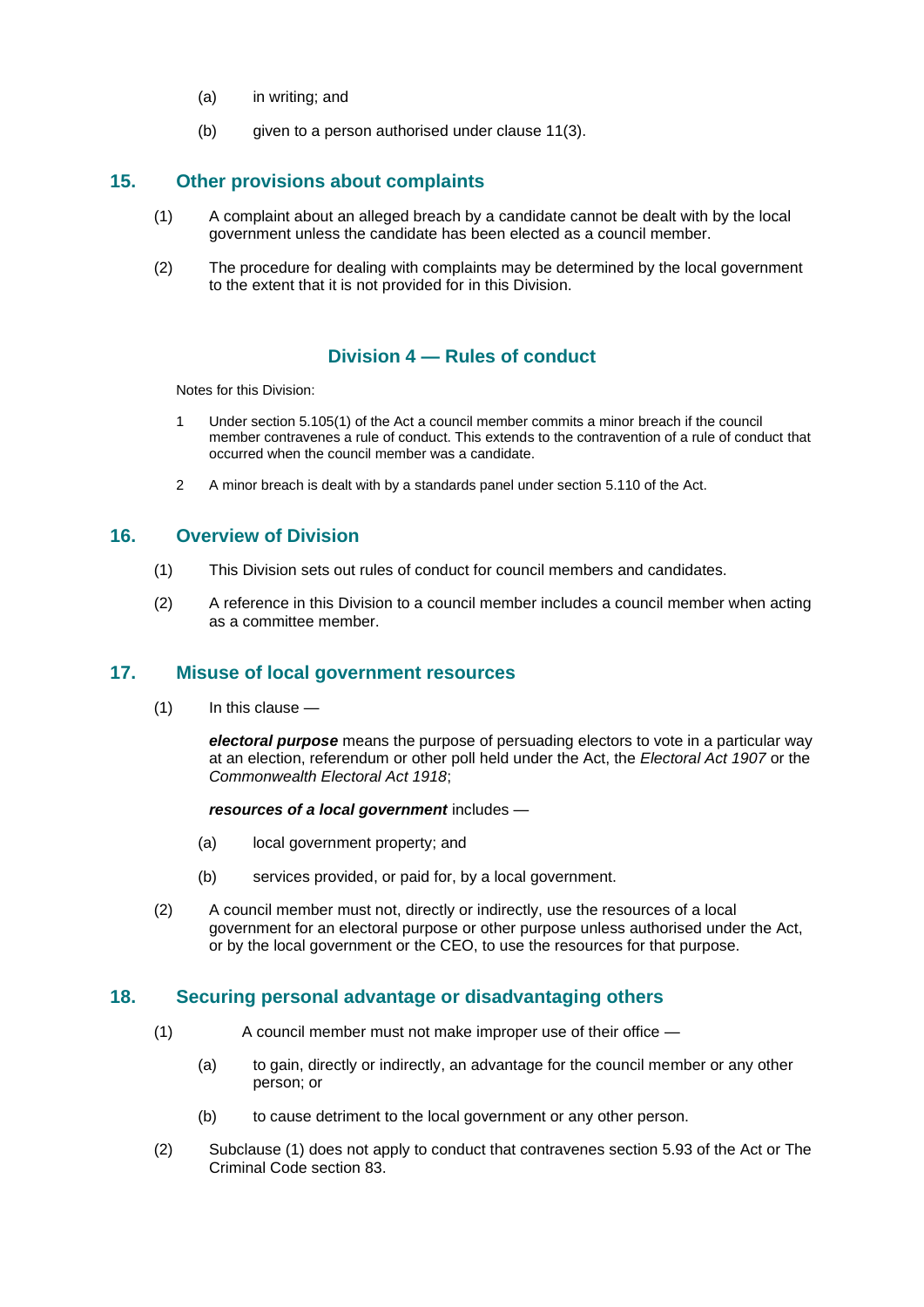- (a) in writing; and
- (b) given to a person authorised under clause 11(3).

# **15. Other provisions about complaints**

- (1) A complaint about an alleged breach by a candidate cannot be dealt with by the local government unless the candidate has been elected as a council member.
- (2) The procedure for dealing with complaints may be determined by the local government to the extent that it is not provided for in this Division.

# **Division 4 — Rules of conduct**

Notes for this Division:

- 1 Under section 5.105(1) of the Act a council member commits a minor breach if the council member contravenes a rule of conduct. This extends to the contravention of a rule of conduct that occurred when the council member was a candidate.
- 2 A minor breach is dealt with by a standards panel under section 5.110 of the Act.

# **16. Overview of Division**

- (1) This Division sets out rules of conduct for council members and candidates.
- (2) A reference in this Division to a council member includes a council member when acting as a committee member.

# **17. Misuse of local government resources**

(1) In this clause —

*electoral purpose* means the purpose of persuading electors to vote in a particular way at an election, referendum or other poll held under the Act, the *Electoral Act 1907* or the *Commonwealth Electoral Act 1918*;

#### *resources of a local government* includes —

- (a) local government property; and
- (b) services provided, or paid for, by a local government.
- (2) A council member must not, directly or indirectly, use the resources of a local government for an electoral purpose or other purpose unless authorised under the Act, or by the local government or the CEO, to use the resources for that purpose.

# **18. Securing personal advantage or disadvantaging others**

- (1) A council member must not make improper use of their office
	- (a) to gain, directly or indirectly, an advantage for the council member or any other person; or
	- (b) to cause detriment to the local government or any other person.
- (2) Subclause (1) does not apply to conduct that contravenes section 5.93 of the Act or The Criminal Code section 83.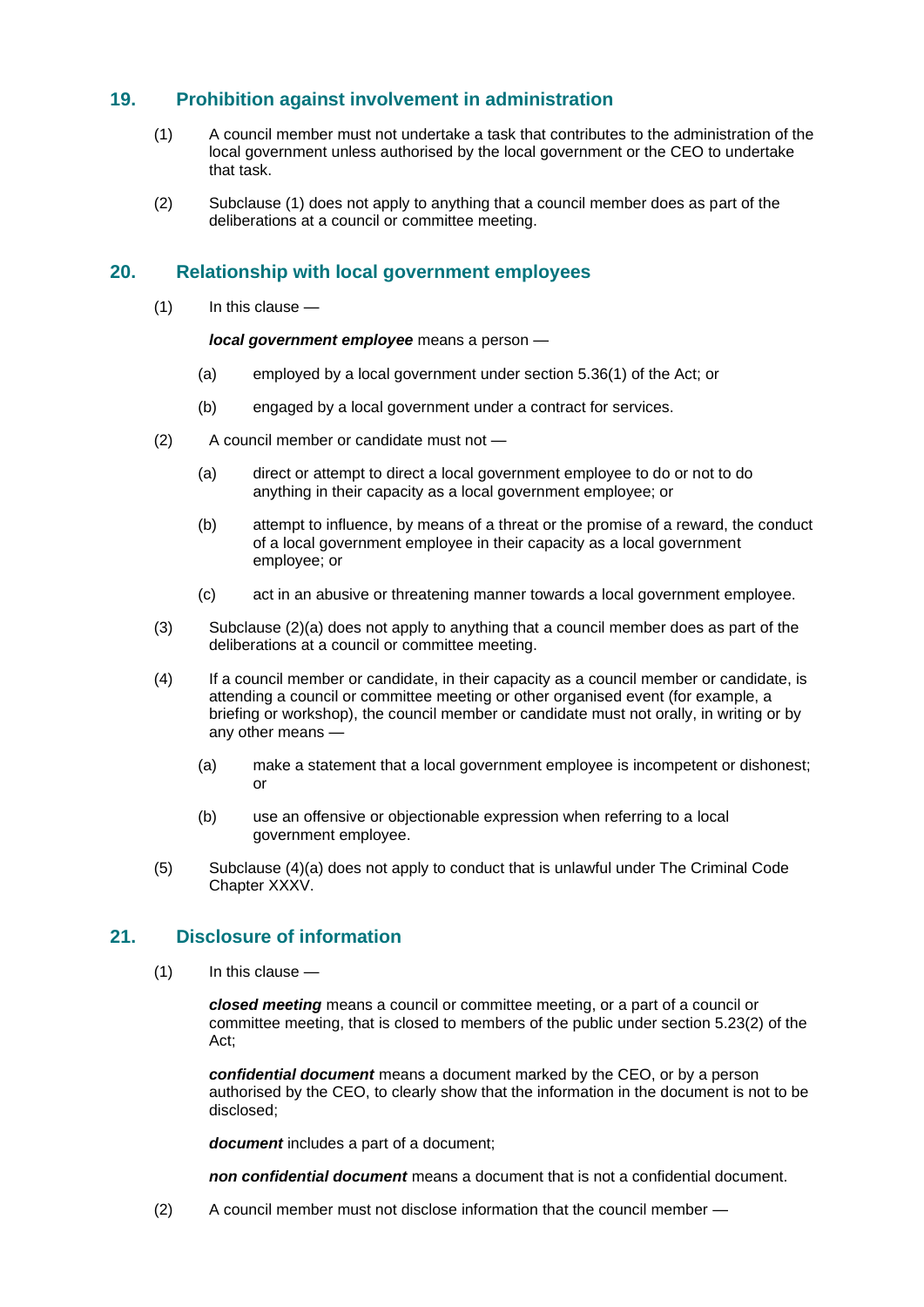# **19. Prohibition against involvement in administration**

- (1) A council member must not undertake a task that contributes to the administration of the local government unless authorised by the local government or the CEO to undertake that task.
- (2) Subclause (1) does not apply to anything that a council member does as part of the deliberations at a council or committee meeting.

### **20. Relationship with local government employees**

(1) In this clause —

*local government employee* means a person —

- (a) employed by a local government under section 5.36(1) of the Act; or
- (b) engaged by a local government under a contract for services.
- (2) A council member or candidate must not
	- (a) direct or attempt to direct a local government employee to do or not to do anything in their capacity as a local government employee; or
	- (b) attempt to influence, by means of a threat or the promise of a reward, the conduct of a local government employee in their capacity as a local government employee; or
	- (c) act in an abusive or threatening manner towards a local government employee.
- (3) Subclause (2)(a) does not apply to anything that a council member does as part of the deliberations at a council or committee meeting.
- (4) If a council member or candidate, in their capacity as a council member or candidate, is attending a council or committee meeting or other organised event (for example, a briefing or workshop), the council member or candidate must not orally, in writing or by any other means —
	- (a) make a statement that a local government employee is incompetent or dishonest; or
	- (b) use an offensive or objectionable expression when referring to a local government employee.
- (5) Subclause (4)(a) does not apply to conduct that is unlawful under The Criminal Code Chapter XXXV.

# **21. Disclosure of information**

(1) In this clause —

*closed meeting* means a council or committee meeting, or a part of a council or committee meeting, that is closed to members of the public under section 5.23(2) of the Act;

*confidential document* means a document marked by the CEO, or by a person authorised by the CEO, to clearly show that the information in the document is not to be disclosed;

*document* includes a part of a document;

*non confidential document* means a document that is not a confidential document.

(2) A council member must not disclose information that the council member —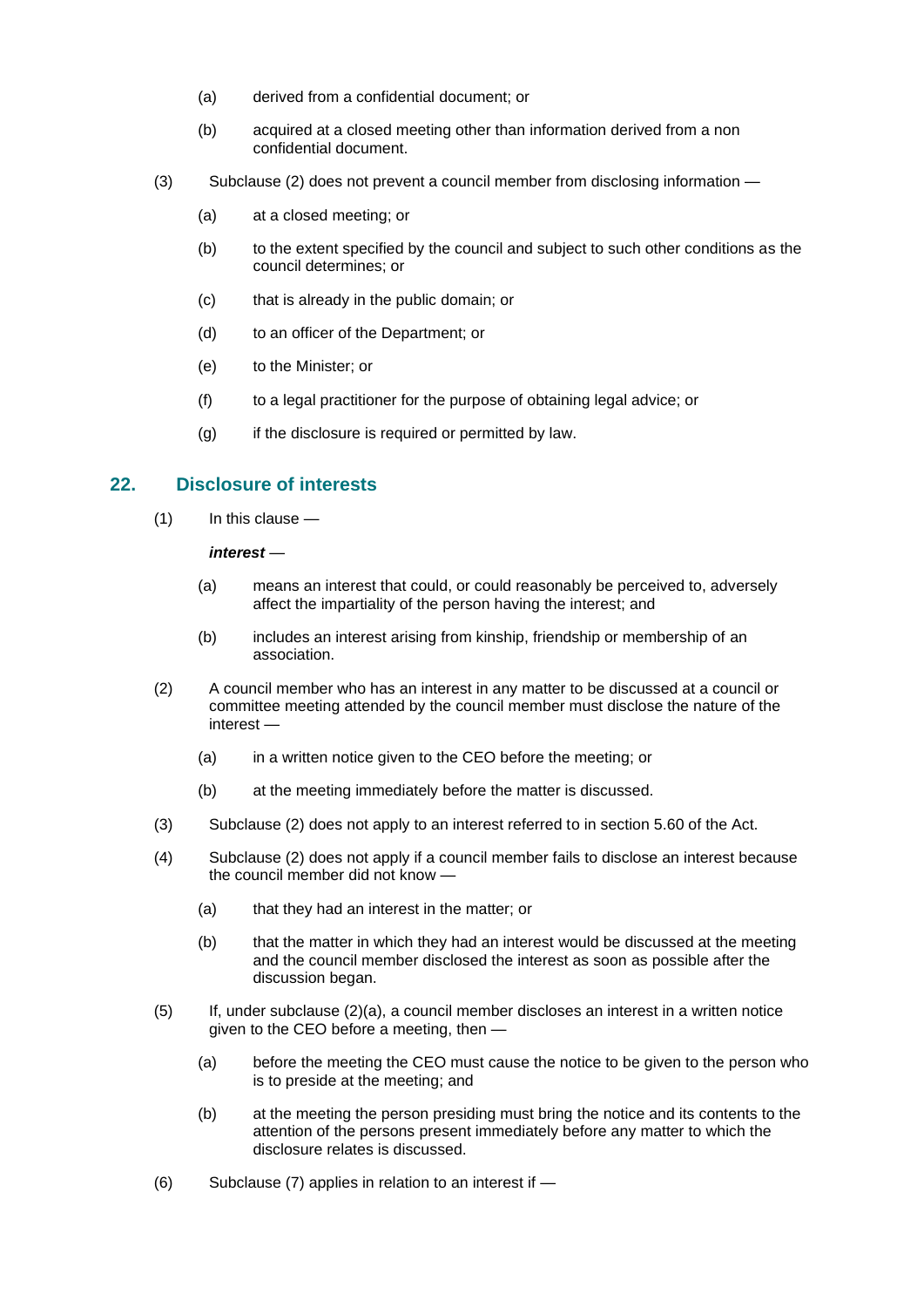- (a) derived from a confidential document; or
- (b) acquired at a closed meeting other than information derived from a non confidential document.
- (3) Subclause (2) does not prevent a council member from disclosing information
	- (a) at a closed meeting; or
	- (b) to the extent specified by the council and subject to such other conditions as the council determines; or
	- (c) that is already in the public domain; or
	- (d) to an officer of the Department; or
	- (e) to the Minister; or
	- (f) to a legal practitioner for the purpose of obtaining legal advice; or
	- $(g)$  if the disclosure is required or permitted by law.

# **22. Disclosure of interests**

(1) In this clause —

#### *interest* —

- (a) means an interest that could, or could reasonably be perceived to, adversely affect the impartiality of the person having the interest; and
- (b) includes an interest arising from kinship, friendship or membership of an association.
- (2) A council member who has an interest in any matter to be discussed at a council or committee meeting attended by the council member must disclose the nature of the interest —
	- (a) in a written notice given to the CEO before the meeting; or
	- (b) at the meeting immediately before the matter is discussed.
- (3) Subclause (2) does not apply to an interest referred to in section 5.60 of the Act.
- (4) Subclause (2) does not apply if a council member fails to disclose an interest because the council member did not know —
	- (a) that they had an interest in the matter; or
	- (b) that the matter in which they had an interest would be discussed at the meeting and the council member disclosed the interest as soon as possible after the discussion began.
- (5) If, under subclause (2)(a), a council member discloses an interest in a written notice given to the CEO before a meeting, then —
	- (a) before the meeting the CEO must cause the notice to be given to the person who is to preside at the meeting; and
	- (b) at the meeting the person presiding must bring the notice and its contents to the attention of the persons present immediately before any matter to which the disclosure relates is discussed.
- (6) Subclause (7) applies in relation to an interest if —